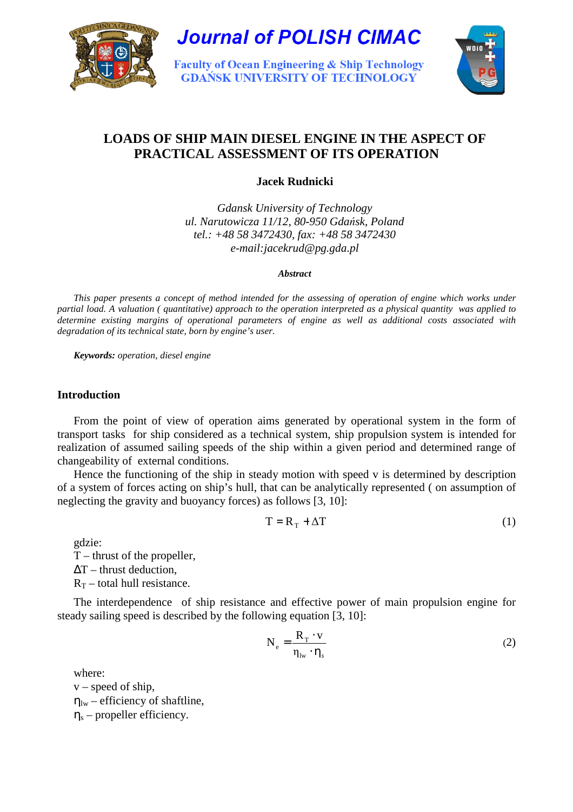

**Journal of POLISH CIMAC** 

**Faculty of Ocean Engineering & Ship Technology GDAŃSK UNIVERSITY OF TECHNOLOGY** 



# **LOADS OF SHIP MAIN DIESEL ENGINE IN THE ASPECT OF PRACTICAL ASSESSMENT OF ITS OPERATION**

**Jacek Rudnicki** 

*Gdansk University of Technology ul. Narutowicza 11/12, 80-950 Gda*ń*sk, Poland tel.: +48 58 3472430, fax: +48 58 3472430 e-mail:jacekrud@pg.gda.pl* 

#### *Abstract*

*This paper presents a concept of method intended for the assessing of operation of engine which works under partial load. A valuation ( quantitative) approach to the operation interpreted as a physical quantity was applied to determine existing margins of operational parameters of engine as well as additional costs associated with degradation of its technical state, born by engine's user.* 

*Keywords: operation, diesel engine*

# **Introduction**

From the point of view of operation aims generated by operational system in the form of transport tasks for ship considered as a technical system, ship propulsion system is intended for realization of assumed sailing speeds of the ship within a given period and determined range of changeability of external conditions.

Hence the functioning of the ship in steady motion with speed v is determined by description of a system of forces acting on ship's hull, that can be analytically represented ( on assumption of neglecting the gravity and buoyancy forces) as follows [3, 10]:

$$
T = R_T + \Delta T \tag{1}
$$

gdzie:

T – thrust of the propeller,  $\Delta T$  – thrust deduction,

 $R_T$  – total hull resistance.

The interdependence of ship resistance and effective power of main propulsion engine for steady sailing speed is described by the following equation [3, 10]:

$$
N_e = \frac{R_T \cdot v}{\eta_{lw} \cdot \eta_s}
$$
 (2)

where:

 $v$  – speed of ship,  $\eta_{\text{lw}}$  – efficiency of shaftline,  $\eta_s$  – propeller efficiency.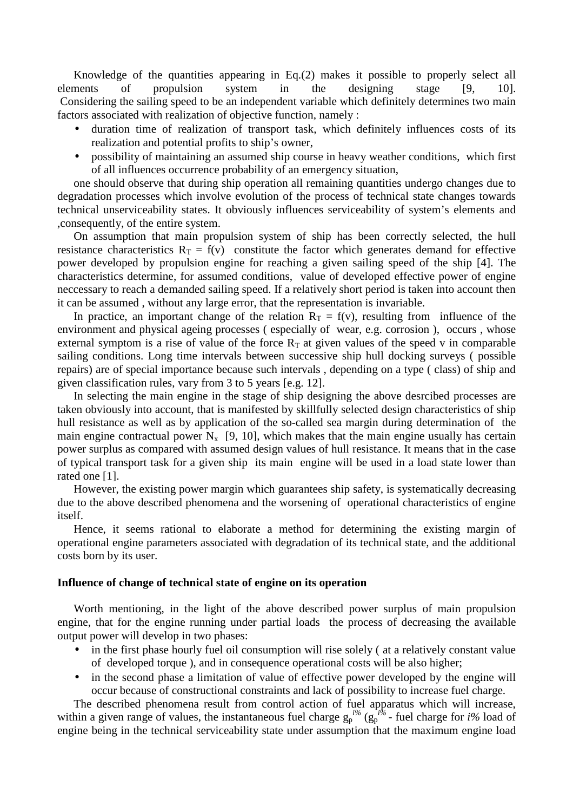Knowledge of the quantities appearing in Eq.(2) makes it possible to properly select all elements of propulsion system in the designing stage [9, 10]. Considering the sailing speed to be an independent variable which definitely determines two main factors associated with realization of objective function, namely :

- duration time of realization of transport task, which definitely influences costs of its realization and potential profits to ship's owner,
- possibility of maintaining an assumed ship course in heavy weather conditions, which first of all influences occurrence probability of an emergency situation,

one should observe that during ship operation all remaining quantities undergo changes due to degradation processes which involve evolution of the process of technical state changes towards technical unserviceability states. It obviously influences serviceability of system's elements and ,consequently, of the entire system.

On assumption that main propulsion system of ship has been correctly selected, the hull resistance characteristics  $R_T = f(v)$  constitute the factor which generates demand for effective power developed by propulsion engine for reaching a given sailing speed of the ship [4]. The characteristics determine, for assumed conditions, value of developed effective power of engine neccessary to reach a demanded sailing speed. If a relatively short period is taken into account then it can be assumed , without any large error, that the representation is invariable.

In practice, an important change of the relation  $R_T = f(v)$ , resulting from influence of the environment and physical ageing processes ( especially of wear, e.g. corrosion ), occurs , whose external symptom is a rise of value of the force  $R<sub>T</sub>$  at given values of the speed v in comparable sailing conditions. Long time intervals between successive ship hull docking surveys ( possible repairs) are of special importance because such intervals , depending on a type ( class) of ship and given classification rules, vary from 3 to 5 years [e.g. 12].

In selecting the main engine in the stage of ship designing the above desrcibed processes are taken obviously into account, that is manifested by skillfully selected design characteristics of ship hull resistance as well as by application of the so-called sea margin during determination of the main engine contractual power  $N_x$  [9, 10], which makes that the main engine usually has certain power surplus as compared with assumed design values of hull resistance. It means that in the case of typical transport task for a given ship its main engine will be used in a load state lower than rated one [1].

However, the existing power margin which guarantees ship safety, is systematically decreasing due to the above described phenomena and the worsening of operational characteristics of engine itself.

Hence, it seems rational to elaborate a method for determining the existing margin of operational engine parameters associated with degradation of its technical state, and the additional costs born by its user.

## **Influence of change of technical state of engine on its operation**

Worth mentioning, in the light of the above described power surplus of main propulsion engine, that for the engine running under partial loads the process of decreasing the available output power will develop in two phases:

- in the first phase hourly fuel oil consumption will rise solely (at a relatively constant value of developed torque ), and in consequence operational costs will be also higher;
- in the second phase a limitation of value of effective power developed by the engine will occur because of constructional constraints and lack of possibility to increase fuel charge.

The described phenomena result from control action of fuel apparatus which will increase, within a given range of values, the instantaneous fuel charge  $g_p^{i\%}$  ( $g_p^{i\%}$  - fuel charge for *i*% load of engine being in the technical serviceability state under assumption that the maximum engine load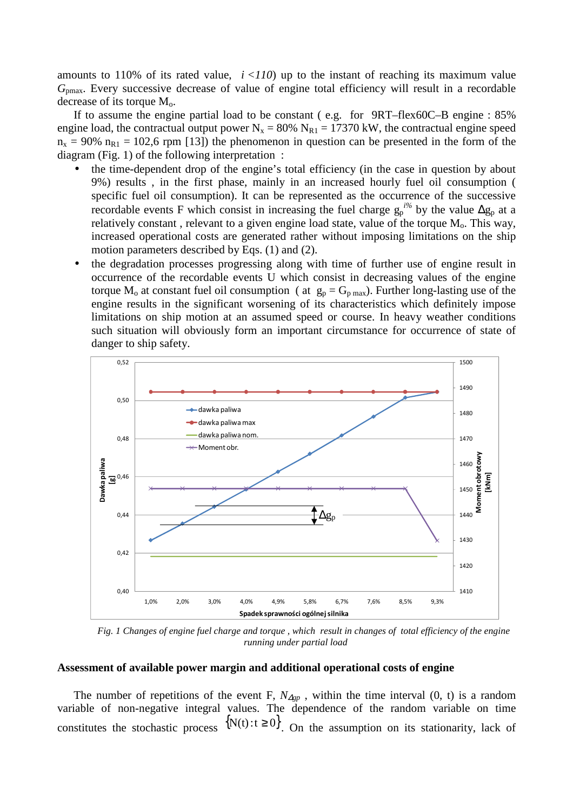amounts to 110% of its rated value,  $i < 110$ ) up to the instant of reaching its maximum value *G*pmax. Every successive decrease of value of engine total efficiency will result in a recordable decrease of its torque  $M_0$ .

If to assume the engine partial load to be constant ( e.g. for 9RT–flex60C–B engine : 85% engine load, the contractual output power  $N_x = 80\% N_{R1} = 17370 \text{ kW}$ , the contractual engine speed  $n_x = 90\%$   $n_{R1} = 102.6$  rpm [13]) the phenomenon in question can be presented in the form of the diagram (Fig. 1) of the following interpretation :

- the time-dependent drop of the engine's total efficiency (in the case in question by about 9%) results , in the first phase, mainly in an increased hourly fuel oil consumption ( specific fuel oil consumption). It can be represented as the occurrence of the successive recordable events F which consist in increasing the fuel charge  $g_p^{i\%}$  by the value  $\Delta g_p$  at a relatively constant, relevant to a given engine load state, value of the torque  $M<sub>o</sub>$ . This way, increased operational costs are generated rather without imposing limitations on the ship motion parameters described by Eqs. (1) and (2).
- the degradation processes progressing along with time of further use of engine result in occurrence of the recordable events U which consist in decreasing values of the engine torque M<sub>o</sub> at constant fuel oil consumption ( at  $g_p = G_{p \max}$ ). Further long-lasting use of the engine results in the significant worsening of its characteristics which definitely impose limitations on ship motion at an assumed speed or course. In heavy weather conditions such situation will obviously form an important circumstance for occurrence of state of danger to ship safety.



*Fig. 1 Changes of engine fuel charge and torque , which result in changes of total efficiency of the engine running under partial load* 

#### **Assessment of available power margin and additional operational costs of engine**

The number of repetitions of the event F,  $N_{\Delta gp}$ , within the time interval (0, t) is a random variable of non-negative integral values. The dependence of the random variable on time constitutes the stochastic process  $\{N(t): t \ge 0\}$ . On the assumption on its stationarity, lack of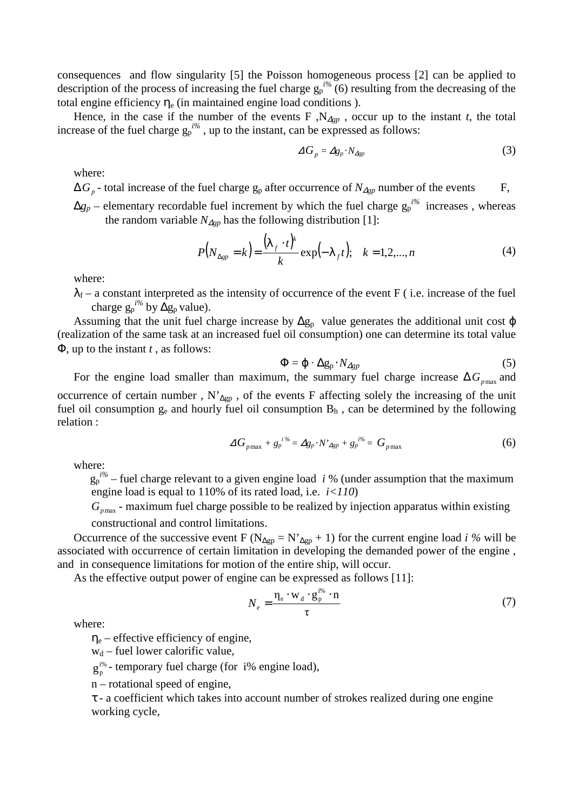consequences and flow singularity [5] the Poisson homogeneous process [2] can be applied to description of the process of increasing the fuel charge  $g_p^{i\%}(6)$  resulting from the decreasing of the total engine efficiency  $\eta_e$  (in maintained engine load conditions).

Hence, in the case if the number of the events F,  $N_{\Delta gp}$ , occur up to the instant *t*, the total increase of the fuel charge  $g_p^{i\%}$ , up to the instant, can be expressed as follows:

$$
\Delta G_p = \Delta g_p \cdot N_{\Delta gp} \tag{3}
$$

where:

∆*G<sup>p</sup>* - total increase of the fuel charge gp after occurrence of *N*∆*gp* number of the events F,

 $\Delta g_p$  – elementary recordable fuel increment by which the fuel charge  $g_p^{i\%}$  increases, whereas the random variable  $N_{\Delta gp}$  has the following distribution [1]:

$$
P(N_{\Delta gp} = k) = \frac{(\lambda_f \cdot t)^k}{k} \exp(-\lambda_f t); \quad k = 1, 2, ..., n
$$
 (4)

where:

 $\lambda_f$  – a constant interpreted as the intensity of occurrence of the event F (i.e. increase of the fuel charge  $g_p^{i\%}$  by  $\Delta g_p$  value).

Assuming that the unit fuel charge increase by  $\Delta g_p$  value generates the additional unit cost  $\varphi$ (realization of the same task at an increased fuel oil consumption) one can determine its total value Φ, up to the instant *t* , as follows:

$$
\Phi = \varphi \cdot \Delta g_p \cdot N_{Agp} \tag{5}
$$

For the engine load smaller than maximum, the summary fuel charge increase  $\Delta G_{pmax}$  and occurrence of certain number , N'∆gp , of the events F affecting solely the increasing of the unit fuel oil consumption  $g_e$  and hourly fuel oil consumption  $B_h$ , can be determined by the following relation :

$$
\Delta G_{p\max} + g_p^{i\%} = \Delta g_p \cdot N'_{\Delta gp} + g_p^{i\%} = G_{p\max}
$$
 (6)

where:

 $g_p^{i\%}$  – fuel charge relevant to a given engine load *i* % (under assumption that the maximum engine load is equal to 110% of its rated load, i.e.  $i < 110$ )

 $G_{p_{\text{max}}}$  - maximum fuel charge possible to be realized by injection apparatus within existing constructional and control limitations.

Occurrence of the successive event F ( $N_{\Delta gp} = N'_{\Delta gp} + 1$ ) for the current engine load *i* % will be associated with occurrence of certain limitation in developing the demanded power of the engine , and in consequence limitations for motion of the entire ship, will occur.

As the effective output power of engine can be expressed as follows [11]:

$$
N_e = \frac{\eta_e \cdot w_d \cdot g_p^{i\%} \cdot n}{\tau} \tag{7}
$$

where:

 $\eta_e$  – effective efficiency of engine,

 $w_d$  – fuel lower calorific value,

 $g_p^{i\%}$  - temporary fuel charge (for i% engine load),

n – rotational speed of engine,

τ - a coefficient which takes into account number of strokes realized during one engine working cycle,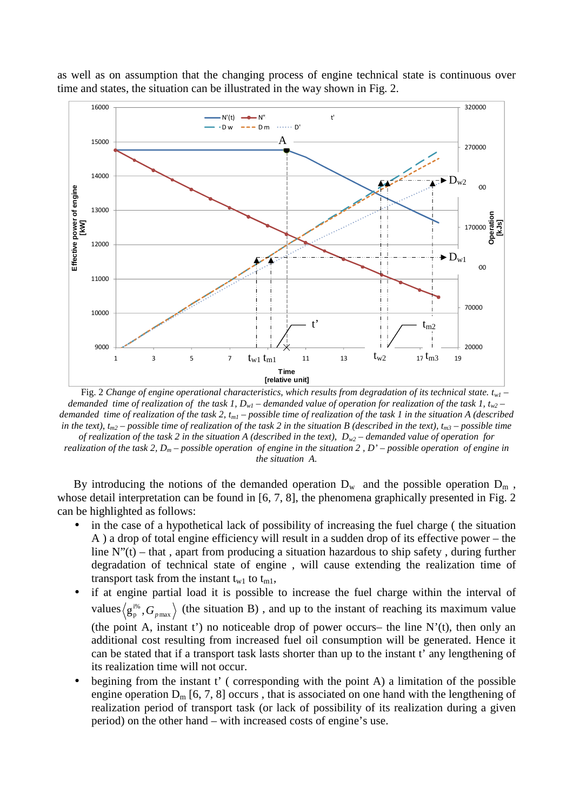

as well as on assumption that the changing process of engine technical state is continuous over time and states, the situation can be illustrated in the way shown in Fig. 2.

Fig. 2 Change of engine operational characteristics, which results from degradation of its technical state.  $t_{wl}$ *demanded time of realization of the task 1,*  $D_wI$  *– demanded value of operation for realization of the task 1,*  $t_w2$  *– demanded time of realization of the task 2, tm1 – possible time of realization of the task 1 in the situation A (described in the text),*  $t_{m2}$  – possible time of realization of the task 2 in the situation B (described in the text),  $t_{m3}$  – possible time *of realization of the task 2 in the situation A (described in the text), Dw2 – demanded value of operation for realization of the task 2, Dm – possible operation of engine in the situation 2 , D' – possible operation of engine in the situation A.*

By introducing the notions of the demanded operation  $D_w$  and the possible operation  $D_m$ , whose detail interpretation can be found in [6, 7, 8], the phenomena graphically presented in Fig. 2 can be highlighted as follows:

- in the case of a hypothetical lack of possibility of increasing the fuel charge (the situation A ) a drop of total engine efficiency will result in a sudden drop of its effective power – the line  $N''(t)$  – that, apart from producing a situation hazardous to ship safety, during further degradation of technical state of engine , will cause extending the realization time of transport task from the instant  $t_{w1}$  to  $t_{m1}$ ,
- if at engine partial load it is possible to increase the fuel charge within the interval of values  $\left\langle \textbf{g}_{\textbf{p}}^{\text{i}\%},G_{\textbf{\textit{p}}\text{max}}\right\rangle$ i%  $g_{p}^{\text{1%}}, G_{p\text{max}}$ ) (the situation B), and up to the instant of reaching its maximum value (the point A, instant t') no noticeable drop of power occurs– the line  $N'(t)$ , then only an additional cost resulting from increased fuel oil consumption will be generated. Hence it can be stated that if a transport task lasts shorter than up to the instant t' any lengthening of its realization time will not occur.
- begining from the instant  $t'$  (corresponding with the point A) a limitation of the possible engine operation  $D_m$  [6, 7, 8] occurs, that is associated on one hand with the lengthening of realization period of transport task (or lack of possibility of its realization during a given period) on the other hand – with increased costs of engine's use.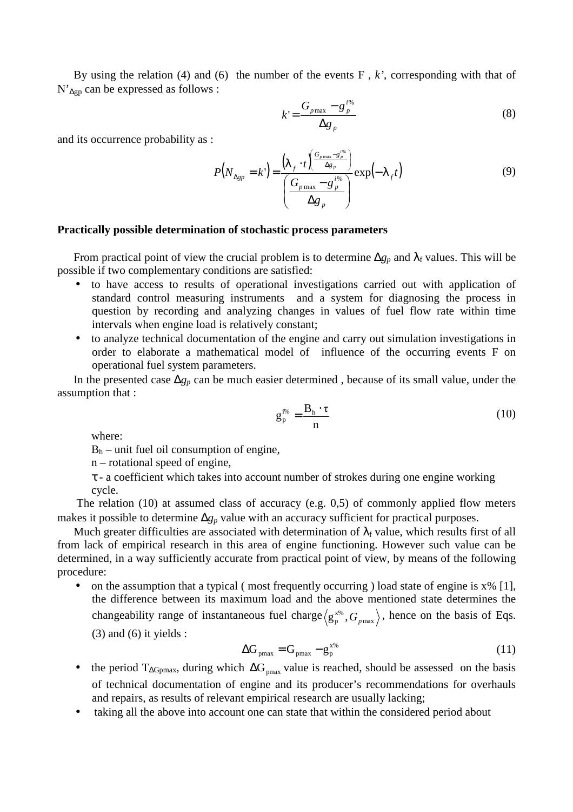By using the relation (4) and (6) the number of the events F , *k'*, corresponding with that of N'<sub>∆gp</sub> can be expressed as follows :

$$
k' = \frac{G_{p\max} - g_p^{i\%}}{\Delta g_p} \tag{8}
$$

and its occurrence probability as :

$$
P\left(N_{\Delta gp} = k'\right) = \frac{\left(\lambda_f \cdot t\right)^{\left(\frac{G_{p \max} - g_p^{\text{f}\%}}{\Delta g_p}\right)}}{\left(\frac{G_{p \max} - g_p^{\text{f}\%}}{\Delta g_p}\right)} \exp\left(-\lambda_f t\right) \tag{9}
$$

# **Practically possible determination of stochastic process parameters**

From practical point of view the crucial problem is to determine  $\Delta g_p$  and  $\lambda_f$  values. This will be possible if two complementary conditions are satisfied:

- to have access to results of operational investigations carried out with application of standard control measuring instruments and a system for diagnosing the process in question by recording and analyzing changes in values of fuel flow rate within time intervals when engine load is relatively constant;
- to analyze technical documentation of the engine and carry out simulation investigations in order to elaborate a mathematical model of influence of the occurring events F on operational fuel system parameters.

In the presented case ∆*gp* can be much easier determined , because of its small value, under the assumption that :

$$
g_p^{i\%} = \frac{B_h \cdot \tau}{n}
$$
 (10)

where:

 $B_h$  – unit fuel oil consumption of engine,

n – rotational speed of engine,

τ - a coefficient which takes into account number of strokes during one engine working cycle.

 The relation (10) at assumed class of accuracy (e.g. 0,5) of commonly applied flow meters makes it possible to determine ∆*gp* value with an accuracy sufficient for practical purposes.

Much greater difficulties are associated with determination of  $\lambda_f$  value, which results first of all from lack of empirical research in this area of engine functioning. However such value can be determined, in a way sufficiently accurate from practical point of view, by means of the following procedure:

• on the assumption that a typical (most frequently occurring) load state of engine is  $x\%$  [1], the difference between its maximum load and the above mentioned state determines the changeability range of instantaneous fuel charge  $\langle g_p^{x\%}, G_{pmax} \rangle$ x%  $g_p^{x\%}, G_{p\text{max}}\rangle$ , hence on the basis of Eqs.  $(3)$  and  $(6)$  it yields :

$$
\Delta G_{pmax} = G_{pmax} - g_p^{x\%} \tag{11}
$$

- the period  $T_{\Delta G_{pmax}}$ , during which  $\Delta G_{pmax}$  value is reached, should be assessed on the basis of technical documentation of engine and its producer's recommendations for overhauls and repairs, as results of relevant empirical research are usually lacking;
- taking all the above into account one can state that within the considered period about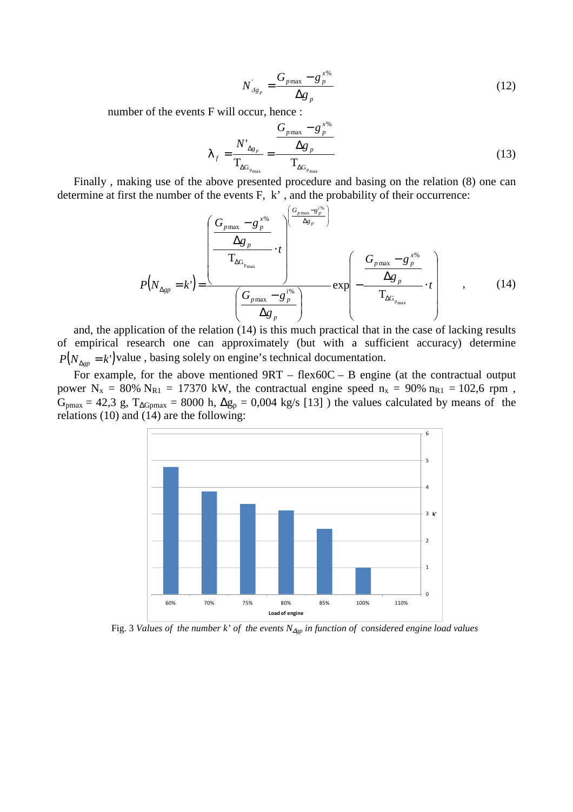$$
N'_{A g_p} = \frac{G_{p \max} - g_p^{x\%}}{\Delta g_p}
$$
 (12)

number of the events F will occur, hence :

$$
\lambda_{f} = \frac{N'_{\Delta g_{p}}}{T_{\Delta G_{p_{\max}}}} = \frac{\frac{G_{p \max} - g_{p}^{x\%}}{\Delta g_{p}}}{T_{\Delta G_{p_{\max}}}}
$$
(13)

Finally , making use of the above presented procedure and basing on the relation (8) one can determine at first the number of the events F, k' , and the probability of their occurrence:

$$
P(N_{\Delta gp} = k') = \frac{\left(\frac{G_{p_{\max}} - g_{p}^{x\%}}{\Delta g_{p}}\right)^{\left(\frac{G_{p_{\max}} - g_{p}^{y\%}}{\Delta g_{p}}\right)}}{\left(\frac{G_{p_{\max}} - g_{p}^{y\%}}{\Delta g_{p}}\right)} \exp\left(-\frac{\frac{G_{p_{\max}} - g_{p}^{x\%}}{\Delta g_{p}}}{T_{\Delta G_{p_{\max}}}} \cdot t\right)} \quad , \quad (14)
$$

and, the application of the relation (14) is this much practical that in the case of lacking results of empirical research one can approximately (but with a sufficient accuracy) determine  $P(N_{\Delta gp} = k')$  value, basing solely on engine's technical documentation.

For example, for the above mentioned 9RT – flex60C – B engine (at the contractual output power  $N_x = 80\% N_{R1} = 17370$  kW, the contractual engine speed  $n_x = 90\% n_{R1} = 102.6$  rpm,  $G_{pmax} = 42.3$  g,  $T_{\Delta G pmax} = 8000$  h,  $\Delta g_p = 0.004$  kg/s [13] ) the values calculated by means of the relations (10) and (14) are the following:



Fig. 3 *Values of the number k' of the events N*∆*gp in function of considered engine load values*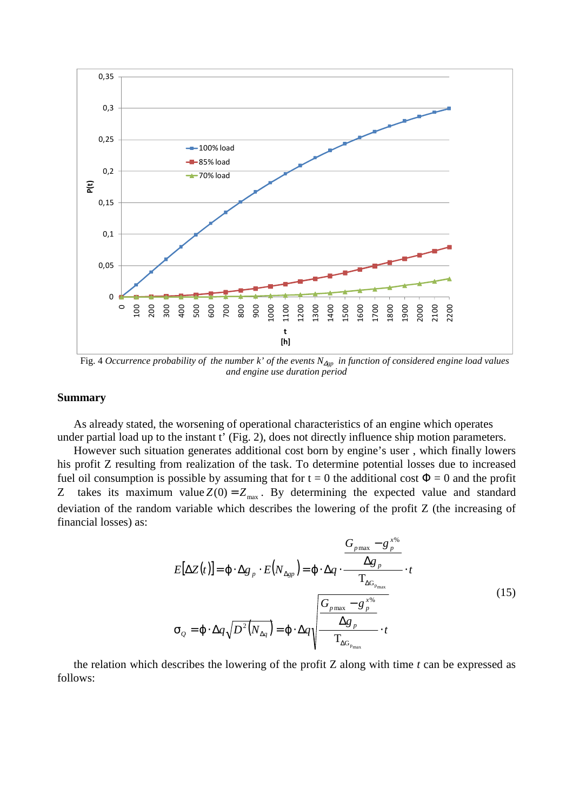

Fig. 4 *Occurrence probability of the number k' of the events N*∆*gp in function of considered engine load values and engine use duration period*

### **Summary**

As already stated, the worsening of operational characteristics of an engine which operates under partial load up to the instant t' (Fig. 2), does not directly influence ship motion parameters.

However such situation generates additional cost born by engine's user , which finally lowers his profit Z resulting from realization of the task. To determine potential losses due to increased fuel oil consumption is possible by assuming that for  $t = 0$  the additional cost  $\Phi = 0$  and the profit Z takes its maximum value  $Z(0) = Z_{\text{max}}$ . By determining the expected value and standard deviation of the random variable which describes the lowering of the profit Z (the increasing of financial losses) as:

$$
E[\Delta Z(t)] = \varphi \cdot \Delta g_{p} \cdot E(N_{\Delta gp}) = \varphi \cdot \Delta q \cdot \frac{\Delta g_{p}}{\Gamma_{\Delta G_{p_{max}}}} \cdot t
$$
\n
$$
\sigma_{Q} = \varphi \cdot \Delta q \sqrt{D^{2}(N_{\Delta q})} = \varphi \cdot \Delta q \sqrt{\frac{G_{p_{max}} - g_{p}^{x\%}}{\Gamma_{\Delta G_{p_{max}}}} \cdot t}
$$
\n(15)

the relation which describes the lowering of the profit Z along with time *t* can be expressed as follows: